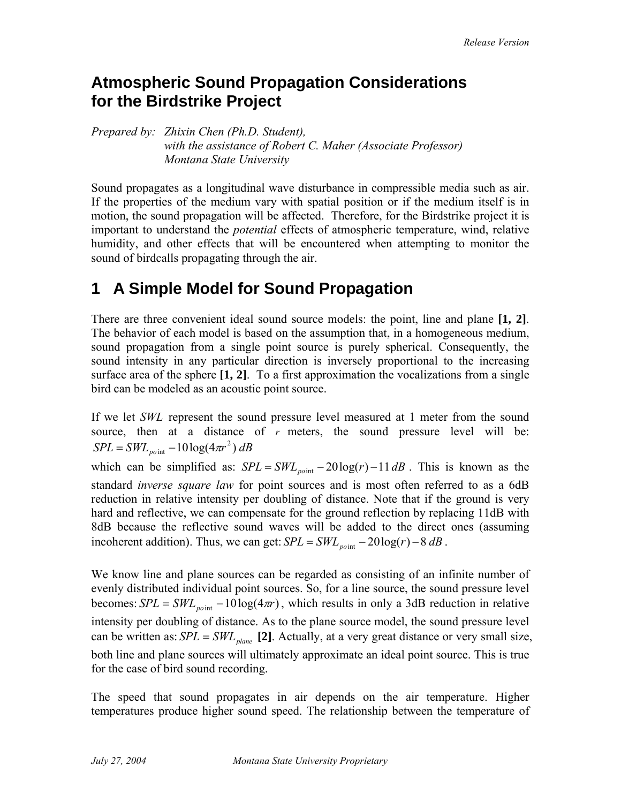### **Atmospheric Sound Propagation Considerations for the Birdstrike Project**

*Prepared by: Zhixin Chen (Ph.D. Student), with the assistance of Robert C. Maher (Associate Professor) Montana State University* 

Sound propagates as a longitudinal wave disturbance in compressible media such as air. If the properties of the medium vary with spatial position or if the medium itself is in motion, the sound propagation will be affected. Therefore, for the Birdstrike project it is important to understand the *potential* effects of atmospheric temperature, wind, relative humidity, and other effects that will be encountered when attempting to monitor the sound of birdcalls propagating through the air.

# **1 A Simple Model for Sound Propagation**

There are three convenient ideal sound source models: the point, line and plane **[1, 2]**. The behavior of each model is based on the assumption that, in a homogeneous medium, sound propagation from a single point source is purely spherical. Consequently, the sound intensity in any particular direction is inversely proportional to the increasing surface area of the sphere **[1, 2]**. To a first approximation the vocalizations from a single bird can be modeled as an acoustic point source.

If we let *SWL* represent the sound pressure level measured at 1 meter from the sound source, then at a distance of *r* meters, the sound pressure level will be:  $SPL = SWL_{point} - 10\log(4\pi r^2) dB$ 

which can be simplified as:  $SPL = SWL_{point} - 20\log(r) - 11 dB$ . This is known as the standard *inverse square law* for point sources and is most often referred to as a 6dB reduction in relative intensity per doubling of distance. Note that if the ground is very hard and reflective, we can compensate for the ground reflection by replacing 11dB with 8dB because the reflective sound waves will be added to the direct ones (assuming incoherent addition). Thus, we can get:  $SPL = SWL_{point} - 20\log(r) - 8 dB$ .

We know line and plane sources can be regarded as consisting of an infinite number of evenly distributed individual point sources. So, for a line source, the sound pressure level becomes:  $SPL = SWL_{point} - 10\log(4\pi r)$ , which results in only a 3dB reduction in relative intensity per doubling of distance. As to the plane source model, the sound pressure level can be written as:  $SPL = SWL_{plane}$  [2]. Actually, at a very great distance or very small size, both line and plane sources will ultimately approximate an ideal point source. This is true for the case of bird sound recording.

The speed that sound propagates in air depends on the air temperature. Higher temperatures produce higher sound speed. The relationship between the temperature of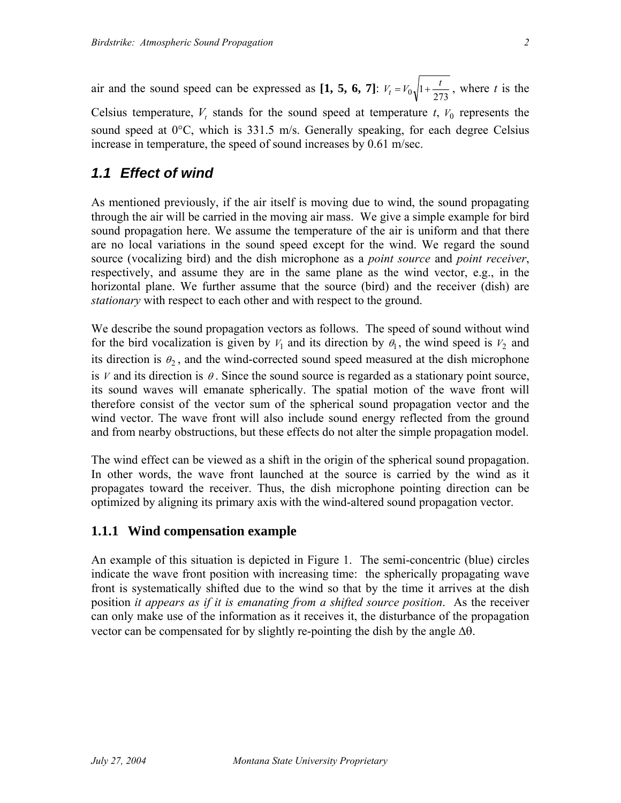air and the sound speed can be expressed as [1, 5, 6, 7]:  $V_t = V_0 \sqrt{1 + \frac{t}{273}}$ , where *t* is the Celsius temperature,  $V_t$  stands for the sound speed at temperature  $t$ ,  $V_0$  represents the sound speed at 0°C, which is 331.5 m/s. Generally speaking, for each degree Celsius increase in temperature, the speed of sound increases by 0.61 m/sec.

#### *1.1 Effect of wind*

As mentioned previously, if the air itself is moving due to wind, the sound propagating through the air will be carried in the moving air mass. We give a simple example for bird sound propagation here. We assume the temperature of the air is uniform and that there are no local variations in the sound speed except for the wind. We regard the sound source (vocalizing bird) and the dish microphone as a *point source* and *point receiver*, respectively, and assume they are in the same plane as the wind vector, e.g., in the horizontal plane. We further assume that the source (bird) and the receiver (dish) are *stationary* with respect to each other and with respect to the ground.

We describe the sound propagation vectors as follows. The speed of sound without wind for the bird vocalization is given by  $V_1$  and its direction by  $\theta_1$ , the wind speed is  $V_2$  and its direction is  $\theta_2$ , and the wind-corrected sound speed measured at the dish microphone is *V* and its direction is  $\theta$ . Since the sound source is regarded as a stationary point source, its sound waves will emanate spherically. The spatial motion of the wave front will therefore consist of the vector sum of the spherical sound propagation vector and the wind vector. The wave front will also include sound energy reflected from the ground and from nearby obstructions, but these effects do not alter the simple propagation model.

The wind effect can be viewed as a shift in the origin of the spherical sound propagation. In other words, the wave front launched at the source is carried by the wind as it propagates toward the receiver. Thus, the dish microphone pointing direction can be optimized by aligning its primary axis with the wind-altered sound propagation vector.

#### **1.1.1 Wind compensation example**

An example of this situation is depicted in Figure 1. The semi-concentric (blue) circles indicate the wave front position with increasing time: the spherically propagating wave front is systematically shifted due to the wind so that by the time it arrives at the dish position *it appears as if it is emanating from a shifted source position*. As the receiver can only make use of the information as it receives it, the disturbance of the propagation vector can be compensated for by slightly re-pointing the dish by the angle ∆θ.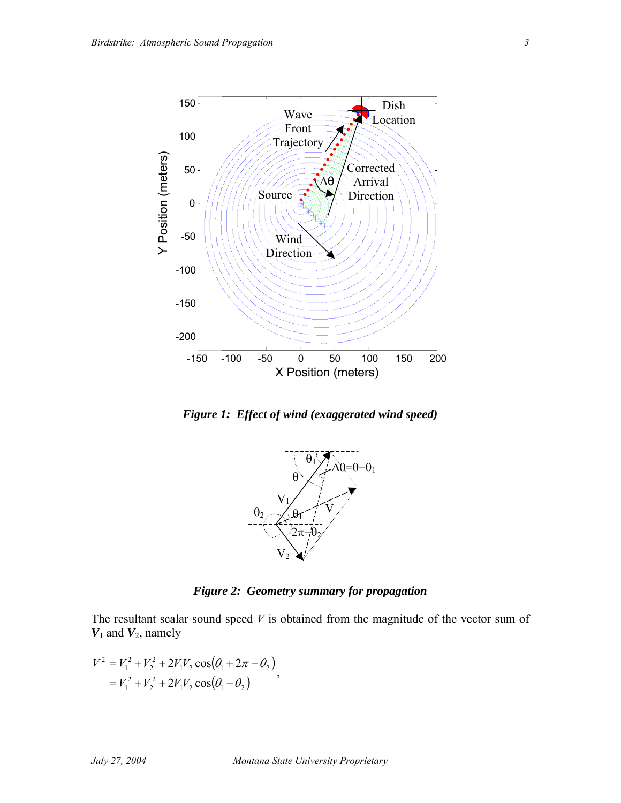

*Figure 1: Effect of wind (exaggerated wind speed)* 



*Figure 2: Geometry summary for propagation* 

The resultant scalar sound speed *V* is obtained from the magnitude of the vector sum of *V*1 and *V*2, namely

$$
V^2 = V_1^2 + V_2^2 + 2V_1V_2 \cos(\theta_1 + 2\pi - \theta_2)
$$
  
=  $V_1^2 + V_2^2 + 2V_1V_2 \cos(\theta_1 - \theta_2)$ ,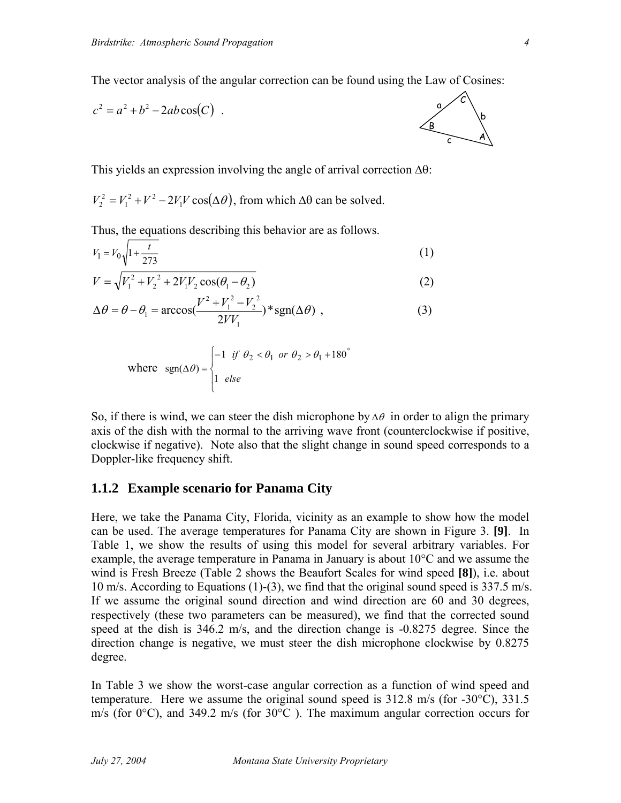The vector analysis of the angular correction can be found using the Law of Cosines:

$$
c2 = a2 + b2 - 2ab\cos(C)
$$

This yields an expression involving the angle of arrival correction ∆θ:

 $V_2^2 = V_1^2 + V^2 - 2V_1V \cos(\Delta \theta)$ , from which  $\Delta \theta$  can be solved.

Thus, the equations describing this behavior are as follows.

$$
V_1 = V_0 \sqrt{1 + \frac{t}{273}}
$$
 (1)

$$
V = \sqrt{V_1^2 + V_2^2 + 2V_1V_2\cos(\theta_1 - \theta_2)}
$$
 (2)

$$
\Delta \theta = \theta - \theta_1 = \arccos(\frac{V^2 + V_1^2 - V_2^2}{2VV_1}) * \text{sgn}(\Delta \theta) , \qquad (3)
$$

where 
$$
\text{sgn}(\Delta \theta) = \begin{cases} -1 & \text{if } \theta_2 < \theta_1 \text{ or } \theta_2 > \theta_1 + 180^\circ \\ 1 & \text{else} \end{cases}
$$

So, if there is wind, we can steer the dish microphone by  $\Delta\theta$  in order to align the primary axis of the dish with the normal to the arriving wave front (counterclockwise if positive, clockwise if negative). Note also that the slight change in sound speed corresponds to a Doppler-like frequency shift.

#### **1.1.2 Example scenario for Panama City**

Here, we take the Panama City, Florida, vicinity as an example to show how the model can be used. The average temperatures for Panama City are shown in Figure 3. **[9]**. In Table 1, we show the results of using this model for several arbitrary variables. For example, the average temperature in Panama in January is about 10°C and we assume the wind is Fresh Breeze (Table 2 shows the Beaufort Scales for wind speed **[8]**), i.e. about 10 m/s. According to Equations (1)-(3), we find that the original sound speed is 337.5 m/s. If we assume the original sound direction and wind direction are 60 and 30 degrees, respectively (these two parameters can be measured), we find that the corrected sound speed at the dish is 346.2 m/s, and the direction change is -0.8275 degree. Since the direction change is negative, we must steer the dish microphone clockwise by 0.8275 degree.

In Table 3 we show the worst-case angular correction as a function of wind speed and temperature. Here we assume the original sound speed is 312.8 m/s (for -30°C), 331.5 m/s (for  $0^{\circ}$ C), and 349.2 m/s (for  $30^{\circ}$ C). The maximum angular correction occurs for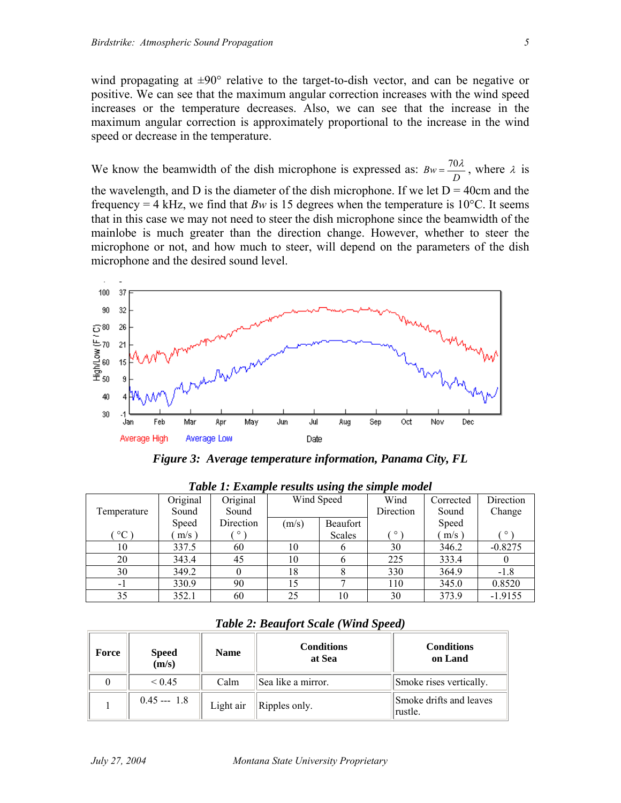microphone and the desired sound level.

wind propagating at ±90° relative to the target-to-dish vector, and can be negative or positive. We can see that the maximum angular correction increases with the wind speed increases or the temperature decreases. Also, we can see that the increase in the maximum angular correction is approximately proportional to the increase in the wind speed or decrease in the temperature.

We know the beamwidth of the dish microphone is expressed as:  $Bw = \frac{70\lambda}{D}$ , where  $\lambda$  is the wavelength, and D is the diameter of the dish microphone. If we let  $D = 40$ cm and the frequency = 4 kHz, we find that  $Bw$  is 15 degrees when the temperature is 10<sup>o</sup>C. It seems that in this case we may not need to steer the dish microphone since the beamwidth of the mainlobe is much greater than the direction change. However, whether to steer the

microphone or not, and how much to steer, will depend on the parameters of the dish



*Figure 3: Average temperature information, Panama City, FL* 

| Twore It Example results asing the simple mouel |              |           |            |          |           |           |           |
|-------------------------------------------------|--------------|-----------|------------|----------|-----------|-----------|-----------|
|                                                 | Original     | Original  | Wind Speed |          | Wind      | Corrected | Direction |
| Temperature                                     | Sound        | Sound     |            |          | Direction | Sound     | Change    |
|                                                 | <b>Speed</b> | Direction | (m/s)      | Beaufort |           | Speed     |           |
| $^{\circ}C$                                     | $m/s$ )      | $\circ$   |            | Scales   | $\circ$   | $m/s$ )   | $\circ$   |
| 10                                              | 337.5        | 60        | 10         |          | 30        | 346.2     | $-0.8275$ |
| 20                                              | 343.4        | 45        | 10         |          | 225       | 333.4     |           |
| 30                                              | 349.2        |           | 18         |          | 330       | 364.9     | $-1.8$    |
| $-1$                                            | 330.9        | 90        | 15         |          | 110       | 345.0     | 0.8520    |
| 35                                              | 352.1        | 60        | 25         | 10       | 30        | 373.9     | $-1.9155$ |

*Table 1: Example results using the simple model* 

| <b>Table 2: Beaufort Scale (Wind Speed)</b> |  |  |  |  |  |
|---------------------------------------------|--|--|--|--|--|
|---------------------------------------------|--|--|--|--|--|

| Force | <b>Speed</b><br>(m/s) | <b>Name</b> | <b>Conditions</b><br>at Sea | <b>Conditions</b><br>on Land       |
|-------|-----------------------|-------------|-----------------------------|------------------------------------|
|       | ${}_{\leq 0.45}$      | Calm        | Sea like a mirror.          | Smoke rises vertically.            |
|       | $0.45 - 1.8$          | Light air   | Ripples only.               | Smoke drifts and leaves<br>rustle. |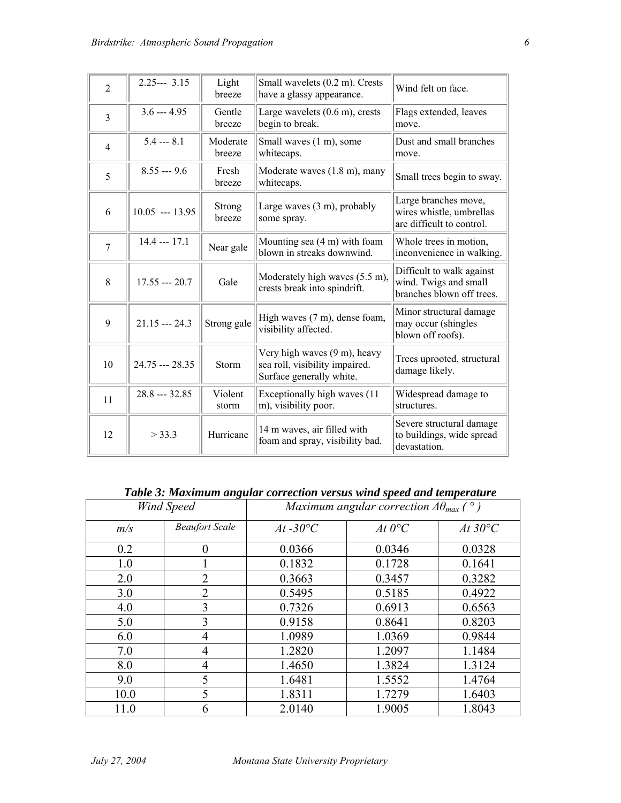| $\overline{2}$ | $2.25--3.15$      | Light<br>breeze    | Small wavelets (0.2 m). Crests<br>have a glassy appearance.                                | Wind felt on face.                                                              |
|----------------|-------------------|--------------------|--------------------------------------------------------------------------------------------|---------------------------------------------------------------------------------|
| $\overline{3}$ | $3.6 - 4.95$      | Gentle<br>breeze   | Large wavelets $(0.6 \text{ m})$ , crests<br>begin to break.                               | Flags extended, leaves<br>move.                                                 |
| 4              | $5.4 -- 8.1$      | Moderate<br>breeze | Small waves (1 m), some<br>whitecaps.                                                      | Dust and small branches<br>move.                                                |
| 5              | $8.55 - 9.6$      | Fresh<br>breeze    | Moderate waves (1.8 m), many<br>whitecaps.                                                 | Small trees begin to sway.                                                      |
| 6              | $10.05$ --- 13.95 | Strong<br>breeze   | Large waves $(3 \text{ m})$ , probably<br>some spray.                                      | Large branches move,<br>wires whistle, umbrellas<br>are difficult to control.   |
| $\overline{7}$ | $14.4 - 17.1$     | Near gale          | Mounting sea (4 m) with foam<br>blown in streaks downwind.                                 | Whole trees in motion,<br>inconvenience in walking.                             |
| 8              | $17.55 - 20.7$    | Gale               | Moderately high waves (5.5 m),<br>crests break into spindrift.                             | Difficult to walk against<br>wind. Twigs and small<br>branches blown off trees. |
| 9              | $21.15 - 24.3$    | Strong gale        | High waves (7 m), dense foam,<br>visibility affected.                                      | Minor structural damage<br>may occur (shingles<br>blown off roofs).             |
| 10             | 24.75 --- 28.35   | Storm              | Very high waves (9 m), heavy<br>sea roll, visibility impaired.<br>Surface generally white. | Trees uprooted, structural<br>damage likely.                                    |
| 11             | $28.8 - 32.85$    | Violent<br>storm   | Exceptionally high waves (11)<br>m), visibility poor.                                      | Widespread damage to<br>structures.                                             |
| 12             | > 33.3            | Hurricane          | 14 m waves, air filled with<br>foam and spray, visibility bad.                             | Severe structural damage<br>to buildings, wide spread<br>devastation.           |

*Table 3: Maximum angular correction versus wind speed and temperature* 

| $\bullet$<br><b>Wind Speed</b> |                       | Maximum angular correction $\Delta\theta_{max}$ ( $\degree$ ) |                 |                  |  |
|--------------------------------|-----------------------|---------------------------------------------------------------|-----------------|------------------|--|
| m/s                            | <b>Beaufort Scale</b> | $At -30^{\circ}C$                                             | At $0^{\circ}C$ | At $30^{\circ}C$ |  |
| 0.2                            | $\overline{0}$        | 0.0366                                                        | 0.0346          | 0.0328           |  |
| 1.0                            |                       | 0.1832                                                        | 0.1728          | 0.1641           |  |
| 2.0                            | $\overline{2}$        | 0.3663                                                        | 0.3457          | 0.3282           |  |
| 3.0                            | $\overline{2}$        | 0.5495                                                        | 0.5185          | 0.4922           |  |
| 4.0                            | 3                     | 0.7326                                                        | 0.6913          | 0.6563           |  |
| 5.0                            | 3                     | 0.9158                                                        | 0.8641          | 0.8203           |  |
| 6.0                            | $\overline{4}$        | 1.0989                                                        | 1.0369          | 0.9844           |  |
| 7.0                            | 4                     | 1.2820                                                        | 1.2097          | 1.1484           |  |
| 8.0                            | 4                     | 1.4650                                                        | 1.3824          | 1.3124           |  |
| 9.0                            | 5                     | 1.6481                                                        | 1.5552          | 1.4764           |  |
| 10.0                           | 5                     | 1.8311                                                        | 1.7279          | 1.6403           |  |
| 11.0                           | 6                     | 2.0140                                                        | 1.9005          | 1.8043           |  |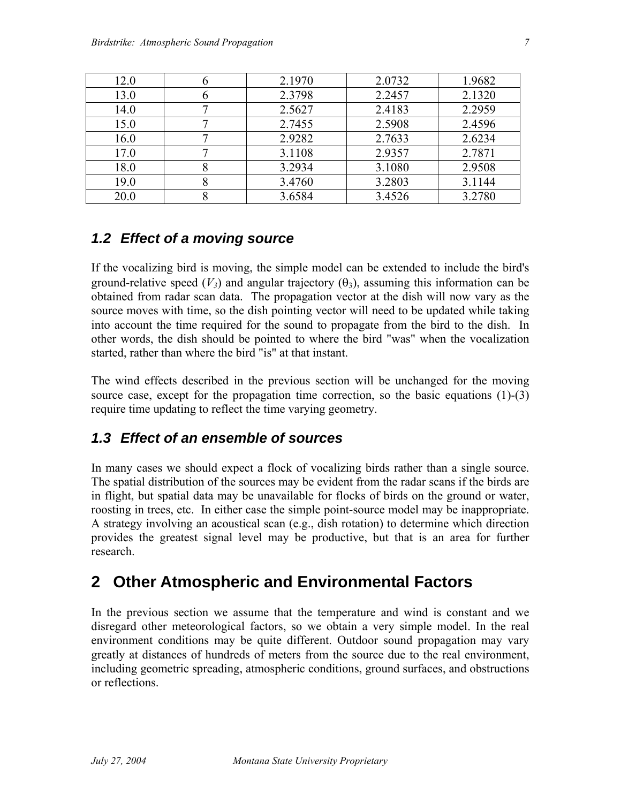| 12.0 |   | 2.1970 | 2.0732 | 1.9682 |
|------|---|--------|--------|--------|
| 13.0 | n | 2.3798 | 2.2457 | 2.1320 |
| 14.0 |   | 2.5627 | 2.4183 | 2.2959 |
| 15.0 |   | 2.7455 | 2.5908 | 2.4596 |
| 16.0 |   | 2.9282 | 2.7633 | 2.6234 |
| 17.0 |   | 3.1108 | 2.9357 | 2.7871 |
| 18.0 |   | 3.2934 | 3.1080 | 2.9508 |
| 19.0 |   | 3.4760 | 3.2803 | 3.1144 |
| 20.0 |   | 3.6584 | 3.4526 | 3.2780 |

### *1.2 Effect of a moving source*

If the vocalizing bird is moving, the simple model can be extended to include the bird's ground-relative speed  $(V_3)$  and angular trajectory  $(\theta_3)$ , assuming this information can be obtained from radar scan data. The propagation vector at the dish will now vary as the source moves with time, so the dish pointing vector will need to be updated while taking into account the time required for the sound to propagate from the bird to the dish. In other words, the dish should be pointed to where the bird "was" when the vocalization started, rather than where the bird "is" at that instant.

The wind effects described in the previous section will be unchanged for the moving source case, except for the propagation time correction, so the basic equations (1)-(3) require time updating to reflect the time varying geometry.

### *1.3 Effect of an ensemble of sources*

In many cases we should expect a flock of vocalizing birds rather than a single source. The spatial distribution of the sources may be evident from the radar scans if the birds are in flight, but spatial data may be unavailable for flocks of birds on the ground or water, roosting in trees, etc. In either case the simple point-source model may be inappropriate. A strategy involving an acoustical scan (e.g., dish rotation) to determine which direction provides the greatest signal level may be productive, but that is an area for further research.

## **2 Other Atmospheric and Environmental Factors**

In the previous section we assume that the temperature and wind is constant and we disregard other meteorological factors, so we obtain a very simple model. In the real environment conditions may be quite different. Outdoor sound propagation may vary greatly at distances of hundreds of meters from the source due to the real environment, including geometric spreading, atmospheric conditions, ground surfaces, and obstructions or reflections.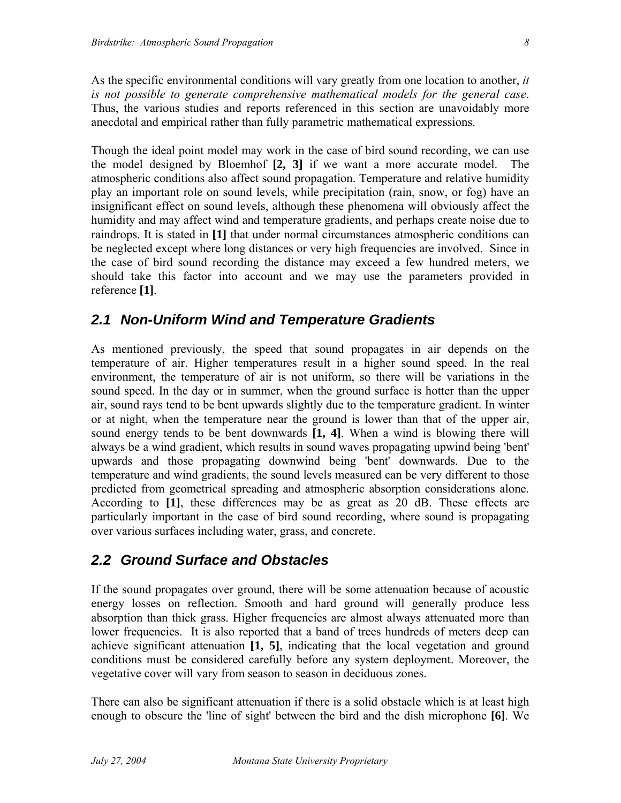As the specific environmental conditions will vary greatly from one location to another, *it is not possible to generate comprehensive mathematical models for the general case*. Thus, the various studies and reports referenced in this section are unavoidably more anecdotal and empirical rather than fully parametric mathematical expressions.

Though the ideal point model may work in the case of bird sound recording, we can use the model designed by Bloemhof **[2, 3]** if we want a more accurate model. The atmospheric conditions also affect sound propagation. Temperature and relative humidity play an important role on sound levels, while precipitation (rain, snow, or fog) have an insignificant effect on sound levels, although these phenomena will obviously affect the humidity and may affect wind and temperature gradients, and perhaps create noise due to raindrops. It is stated in **[1]** that under normal circumstances atmospheric conditions can be neglected except where long distances or very high frequencies are involved. Since in the case of bird sound recording the distance may exceed a few hundred meters, we should take this factor into account and we may use the parameters provided in reference **[1]**.

#### *2.1 Non-Uniform Wind and Temperature Gradients*

As mentioned previously, the speed that sound propagates in air depends on the temperature of air. Higher temperatures result in a higher sound speed. In the real environment, the temperature of air is not uniform, so there will be variations in the sound speed. In the day or in summer, when the ground surface is hotter than the upper air, sound rays tend to be bent upwards slightly due to the temperature gradient. In winter or at night, when the temperature near the ground is lower than that of the upper air, sound energy tends to be bent downwards **[1, 4]**. When a wind is blowing there will always be a wind gradient, which results in sound waves propagating upwind being 'bent' upwards and those propagating downwind being 'bent' downwards. Due to the temperature and wind gradients, the sound levels measured can be very different to those predicted from geometrical spreading and atmospheric absorption considerations alone. According to **[1]**, these differences may be as great as 20 dB. These effects are particularly important in the case of bird sound recording, where sound is propagating over various surfaces including water, grass, and concrete.

### *2.2 Ground Surface and Obstacles*

If the sound propagates over ground, there will be some attenuation because of acoustic energy losses on reflection. Smooth and hard ground will generally produce less absorption than thick grass. Higher frequencies are almost always attenuated more than lower frequencies. It is also reported that a band of trees hundreds of meters deep can achieve significant attenuation **[1, 5]**, indicating that the local vegetation and ground conditions must be considered carefully before any system deployment. Moreover, the vegetative cover will vary from season to season in deciduous zones.

There can also be significant attenuation if there is a solid obstacle which is at least high enough to obscure the 'line of sight' between the bird and the dish microphone **[6]**. We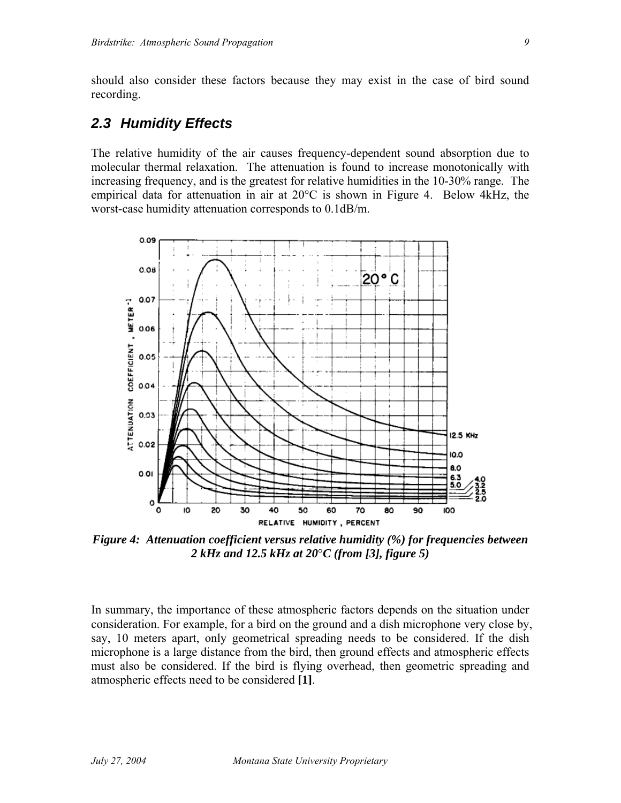should also consider these factors because they may exist in the case of bird sound recording.

#### *2.3 Humidity Effects*

The relative humidity of the air causes frequency-dependent sound absorption due to molecular thermal relaxation. The attenuation is found to increase monotonically with increasing frequency, and is the greatest for relative humidities in the 10-30% range. The empirical data for attenuation in air at 20°C is shown in Figure 4. Below 4kHz, the worst-case humidity attenuation corresponds to 0.1dB/m.



*Figure 4: Attenuation coefficient versus relative humidity (%) for frequencies between 2 kHz and 12.5 kHz at 20*°*C (from [3], figure 5)* 

In summary, the importance of these atmospheric factors depends on the situation under consideration. For example, for a bird on the ground and a dish microphone very close by, say, 10 meters apart, only geometrical spreading needs to be considered. If the dish microphone is a large distance from the bird, then ground effects and atmospheric effects must also be considered. If the bird is flying overhead, then geometric spreading and atmospheric effects need to be considered **[1]**.